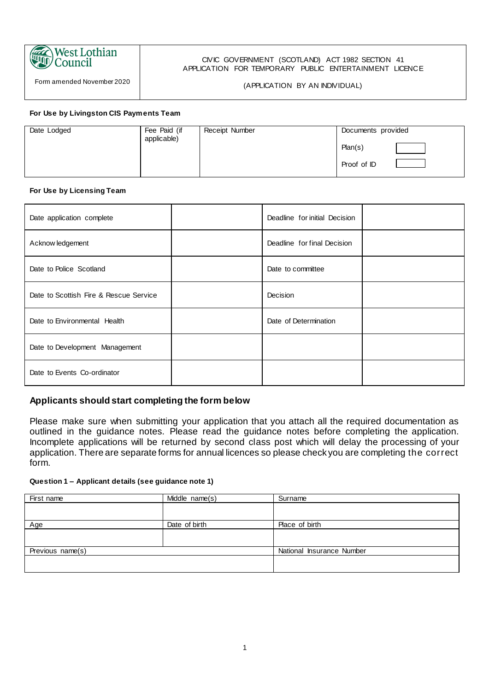#### **West Lothian THE STATE** Council

Form amended November 2020

#### CIVIC GOVERNMENT (SCOTLAND) ACT 1982 SECTION 41 APPLICATION FOR TEMPORARY PUBLIC ENTERTAINMENT LICENCE

#### (APPLICATION BY AN INDIVIDUAL)

#### **For Use by Livingston CIS Payments Team**

| Date Lodged | Fee Paid (if<br>applicable) | Receipt Number | Documents provided |  |
|-------------|-----------------------------|----------------|--------------------|--|
|             |                             |                | Plan(s)            |  |
|             |                             |                | Proof of ID        |  |

#### **For Use by Licensing Team**

| Date application complete              | Deadline for initial Decision |  |
|----------------------------------------|-------------------------------|--|
| Acknow ledgement                       | Deadline for final Decision   |  |
| Date to Police Scotland                | Date to committee             |  |
| Date to Scottish Fire & Rescue Service | Decision                      |  |
| Date to Environmental Health           | Date of Determination         |  |
| Date to Development Management         |                               |  |
| Date to Events Co-ordinator            |                               |  |

# **Applicants should start completing the form below**

Please make sure when submitting your application that you attach all the required documentation as outlined in the guidance notes. Please read the guidance notes before completing the application. Incomplete applications will be returned by second class post which will delay the processing of your application. There are separate forms for annual licences so please check you are completing the correct form.

|  | Question 1 - Applicant details (see guidance note 1) |  |
|--|------------------------------------------------------|--|
|  |                                                      |  |

| First name       | Middle name(s) | Surname                   |
|------------------|----------------|---------------------------|
|                  |                |                           |
|                  |                |                           |
| Age              | Date of birth  | Place of birth            |
|                  |                |                           |
|                  |                |                           |
| Previous name(s) |                | National Insurance Number |
|                  |                |                           |
|                  |                |                           |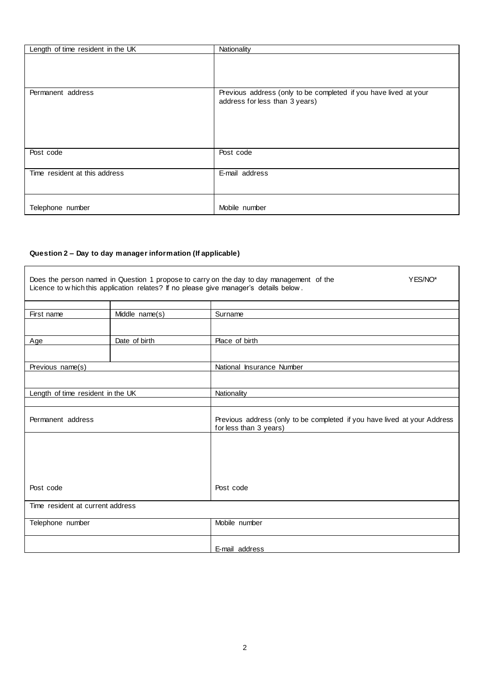| Length of time resident in the UK | Nationality                                                                                        |
|-----------------------------------|----------------------------------------------------------------------------------------------------|
|                                   |                                                                                                    |
|                                   |                                                                                                    |
| Permanent address                 | Previous address (only to be completed if you have lived at your<br>address for less than 3 years) |
| Post code                         | Post code                                                                                          |
|                                   |                                                                                                    |
| Time resident at this address     | E-mail address                                                                                     |
| Telephone number                  | Mobile number                                                                                      |

### **Question 2 – Day to day manager information (If applicable)**

|                                   |                | Does the person named in Question 1 propose to carry on the day to day management of the<br>YES/NO*<br>Licence to w hich this application relates? If no please give manager's details below. |
|-----------------------------------|----------------|-----------------------------------------------------------------------------------------------------------------------------------------------------------------------------------------------|
|                                   |                |                                                                                                                                                                                               |
| First name                        | Middle name(s) | Surname                                                                                                                                                                                       |
|                                   |                |                                                                                                                                                                                               |
| Age                               | Date of birth  | Place of birth                                                                                                                                                                                |
|                                   |                |                                                                                                                                                                                               |
| Previous name(s)                  |                | National Insurance Number                                                                                                                                                                     |
|                                   |                |                                                                                                                                                                                               |
| Length of time resident in the UK |                | Nationality                                                                                                                                                                                   |
|                                   |                |                                                                                                                                                                                               |
| Permanent address                 |                | Previous address (only to be completed if you have lived at your Address<br>for less than 3 years)                                                                                            |
|                                   |                |                                                                                                                                                                                               |
| Post code                         |                | Post code                                                                                                                                                                                     |
| Time resident at current address  |                |                                                                                                                                                                                               |
| Telephone number                  |                | Mobile number                                                                                                                                                                                 |
|                                   |                | E-mail address                                                                                                                                                                                |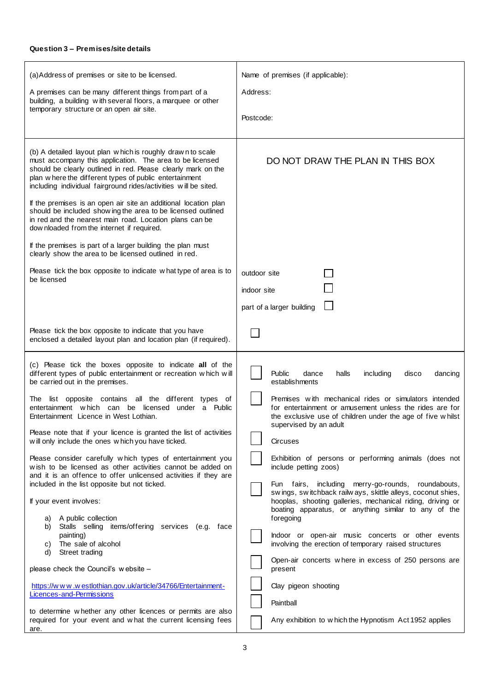| (a) Address of premises or site to be licensed.<br>A premises can be many different things from part of a<br>building, a building with several floors, a marquee or other<br>temporary structure or an open air site.<br>(b) A detailed layout plan which is roughly drawn to scale<br>must accompany this application. The area to be licensed<br>should be clearly outlined in red. Please clearly mark on the<br>plan where the different types of public entertainment<br>including individual fairground rides/activities will be sited.<br>If the premises is an open air site an additional location plan                                                                                                                                                                                                                                                                                                                                                                                                                | Name of premises (if applicable):<br>Address:<br>Postcode:<br>DO NOT DRAW THE PLAN IN THIS BOX                                                                                                                                                                                                                                                                                                                                                                                                                                                                                                                                                                                                                                                                                                                                                                |
|---------------------------------------------------------------------------------------------------------------------------------------------------------------------------------------------------------------------------------------------------------------------------------------------------------------------------------------------------------------------------------------------------------------------------------------------------------------------------------------------------------------------------------------------------------------------------------------------------------------------------------------------------------------------------------------------------------------------------------------------------------------------------------------------------------------------------------------------------------------------------------------------------------------------------------------------------------------------------------------------------------------------------------|---------------------------------------------------------------------------------------------------------------------------------------------------------------------------------------------------------------------------------------------------------------------------------------------------------------------------------------------------------------------------------------------------------------------------------------------------------------------------------------------------------------------------------------------------------------------------------------------------------------------------------------------------------------------------------------------------------------------------------------------------------------------------------------------------------------------------------------------------------------|
| should be included show ing the area to be licensed outlined<br>in red and the nearest main road. Location plans can be<br>dow nloaded from the internet if required.<br>If the premises is part of a larger building the plan must<br>clearly show the area to be licensed outlined in red.                                                                                                                                                                                                                                                                                                                                                                                                                                                                                                                                                                                                                                                                                                                                    |                                                                                                                                                                                                                                                                                                                                                                                                                                                                                                                                                                                                                                                                                                                                                                                                                                                               |
| Please tick the box opposite to indicate what type of area is to<br>be licensed                                                                                                                                                                                                                                                                                                                                                                                                                                                                                                                                                                                                                                                                                                                                                                                                                                                                                                                                                 | outdoor site<br>indoor site<br>part of a larger building                                                                                                                                                                                                                                                                                                                                                                                                                                                                                                                                                                                                                                                                                                                                                                                                      |
| Please tick the box opposite to indicate that you have<br>enclosed a detailed layout plan and location plan (if required).                                                                                                                                                                                                                                                                                                                                                                                                                                                                                                                                                                                                                                                                                                                                                                                                                                                                                                      |                                                                                                                                                                                                                                                                                                                                                                                                                                                                                                                                                                                                                                                                                                                                                                                                                                                               |
| (c) Please tick the boxes opposite to indicate all of the<br>different types of public entertainment or recreation which will<br>be carried out in the premises.<br>The list opposite contains all the different types of<br>entertainment which can be licensed<br>under a Public<br>Entertainment Licence in West Lothian.<br>Please note that if your licence is granted the list of activities<br>will only include the ones which you have ticked.<br>Please consider carefully which types of entertainment you<br>wish to be licensed as other activities cannot be added on<br>and it is an offence to offer unlicensed activities if they are<br>included in the list opposite but not ticked.<br>If your event involves:<br>A public collection<br>a)<br>Stalls selling items/offering services (e.g. face<br>b)<br>painting)<br>The sale of alcohol<br>C)<br>Street trading<br>d)<br>please check the Council's website -<br>https://www.westlothian.gov.uk/article/34766/Entertainment-<br>Licences-and-Permissions | <b>Public</b><br>halls<br>including<br>dance<br>disco<br>dancing<br>establishments<br>Premises with mechanical rides or simulators intended<br>for entertainment or amusement unless the rides are for<br>the exclusive use of children under the age of five whilst<br>supervised by an adult<br>Circuses<br>Exhibition of persons or performing animals (does not<br>include petting zoos)<br>Fun fairs, including merry-go-rounds, roundabouts,<br>swings, switchback railways, skittle alleys, coconut shies,<br>hooplas, shooting galleries, mechanical riding, driving or<br>boating apparatus, or anything similar to any of the<br>foregoing<br>Indoor or open-air music concerts or other events<br>involving the erection of temporary raised structures<br>Open-air concerts where in excess of 250 persons are<br>present<br>Clay pigeon shooting |
| to determine whether any other licences or permits are also<br>required for your event and what the current licensing fees<br>are.                                                                                                                                                                                                                                                                                                                                                                                                                                                                                                                                                                                                                                                                                                                                                                                                                                                                                              | Paintball<br>Any exhibition to which the Hypnotism Act 1952 applies                                                                                                                                                                                                                                                                                                                                                                                                                                                                                                                                                                                                                                                                                                                                                                                           |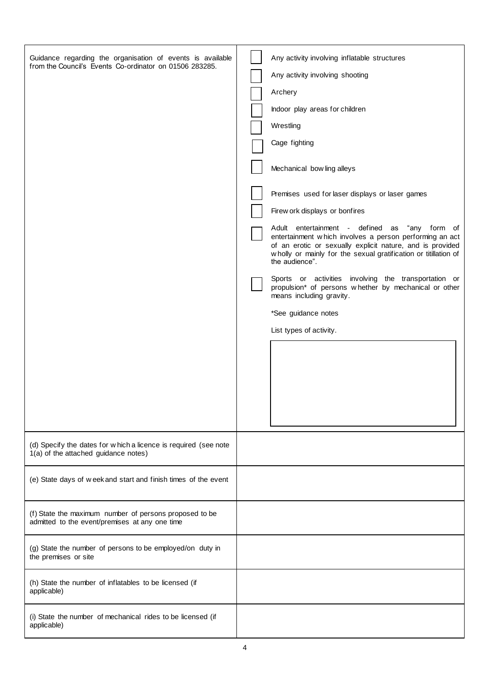| Guidance regarding the organisation of events is available<br>from the Council's Events Co-ordinator on 01506 283285. | Any activity involving inflatable structures<br>Any activity involving shooting<br>Archery<br>Indoor play areas for children<br>Wrestling<br>Cage fighting<br>Mechanical bow ling alleys<br>Premises used for laser displays or laser games<br>Firew ork displays or bonfires<br>Adult entertainment - defined as "any form of<br>entertainment which involves a person performing an act<br>of an erotic or sexually explicit nature, and is provided<br>wholly or mainly for the sexual gratification or titillation of<br>the audience".<br>Sports or activities involving the transportation or<br>propulsion* of persons whether by mechanical or other<br>means including gravity.<br>*See guidance notes<br>List types of activity. |
|-----------------------------------------------------------------------------------------------------------------------|--------------------------------------------------------------------------------------------------------------------------------------------------------------------------------------------------------------------------------------------------------------------------------------------------------------------------------------------------------------------------------------------------------------------------------------------------------------------------------------------------------------------------------------------------------------------------------------------------------------------------------------------------------------------------------------------------------------------------------------------|
| (d) Specify the dates for w hich a licence is required (see note<br>1(a) of the attached guidance notes)              |                                                                                                                                                                                                                                                                                                                                                                                                                                                                                                                                                                                                                                                                                                                                            |
| (e) State days of week and start and finish times of the event                                                        |                                                                                                                                                                                                                                                                                                                                                                                                                                                                                                                                                                                                                                                                                                                                            |
| (f) State the maximum number of persons proposed to be<br>admitted to the event/premises at any one time              |                                                                                                                                                                                                                                                                                                                                                                                                                                                                                                                                                                                                                                                                                                                                            |
| (g) State the number of persons to be employed/on duty in<br>the premises or site                                     |                                                                                                                                                                                                                                                                                                                                                                                                                                                                                                                                                                                                                                                                                                                                            |
| (h) State the number of inflatables to be licensed (if<br>applicable)                                                 |                                                                                                                                                                                                                                                                                                                                                                                                                                                                                                                                                                                                                                                                                                                                            |
| (i) State the number of mechanical rides to be licensed (if<br>applicable)                                            |                                                                                                                                                                                                                                                                                                                                                                                                                                                                                                                                                                                                                                                                                                                                            |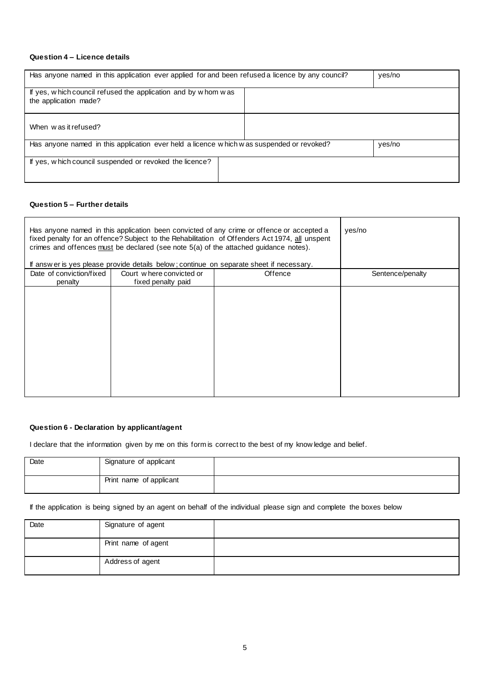#### **Question 4 – Licence details**

| Has anyone named in this application ever applied for and been refused a licence by any council? | yes/no |        |
|--------------------------------------------------------------------------------------------------|--------|--------|
| If yes, which council refused the application and by whom was<br>the application made?           |        |        |
| When was it refused?                                                                             |        |        |
| Has anyone named in this application ever held a licence which was suspended or revoked?         |        | yes/no |
| If yes, which council suspended or revoked the licence?                                          |        |        |

#### **Question 5 – Further details**

| Has anyone named in this application been convicted of any crime or offence or accepted a<br>fixed penalty for an offence? Subject to the Rehabilitation of Offenders Act 1974, all unspent<br>crimes and offences must be declared (see note 5(a) of the attached guidance notes).<br>If answer is yes please provide details below; continue on separate sheet if necessary. |                          |         | yes/no           |
|--------------------------------------------------------------------------------------------------------------------------------------------------------------------------------------------------------------------------------------------------------------------------------------------------------------------------------------------------------------------------------|--------------------------|---------|------------------|
| Date of conviction/fixed                                                                                                                                                                                                                                                                                                                                                       | Court where convicted or | Offence | Sentence/penalty |
| penalty                                                                                                                                                                                                                                                                                                                                                                        | fixed penalty paid       |         |                  |
|                                                                                                                                                                                                                                                                                                                                                                                |                          |         |                  |

#### **Question 6 - Declaration by applicant/agent**

I declare that the information given by me on this form is correct to the best of my know ledge and belief.

| Date | Signature of applicant  |  |
|------|-------------------------|--|
|      | Print name of applicant |  |

If the application is being signed by an agent on behalf of the individual please sign and complete the boxes below

| Date | Signature of agent  |  |
|------|---------------------|--|
|      | Print name of agent |  |
|      | Address of agent    |  |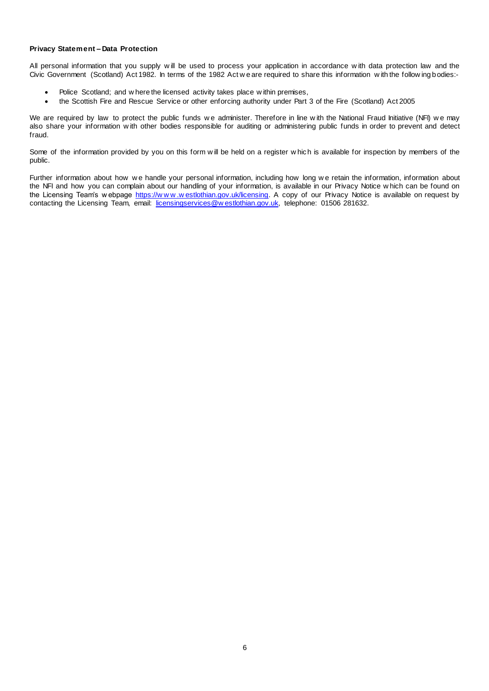#### **Privacy Statement – Data Protection**

All personal information that you supply w ill be used to process your application in accordance w ith data protection law and the Civic Government (Scotland) Act 1982. In terms of the 1982 Act w e are required to share this information w ith the follow ing bodies:-

- Police Scotland; and w here the licensed activity takes place w ithin premises,
- the Scottish Fire and Rescue Service or other enforcing authority under Part 3 of the Fire (Scotland) Act 2005

We are required by law to protect the public funds we administer. Therefore in line with the National Fraud Initiative (NFI) we may also share your information w ith other bodies responsible for auditing or administering public funds in order to prevent and detect fraud.

Some of the information provided by you on this form w ill be held on a register w hich is available for inspection by members of the public.

Further information about how we handle your personal information, including how long we retain the information, information about the NFI and how you can complain about our handling of your information, is available in our Privacy Notice w hich can be found on the Licensing Team's w ebpage https://www.westlothian.gov.uk/licensing. A copy of our Privacy Notice is available on request by contacting the Licensing Team, email: [licensingservices@w estlothian.gov.uk,](mailto:licensingservices@westlothian.gov.uk) telephone: 01506 281632.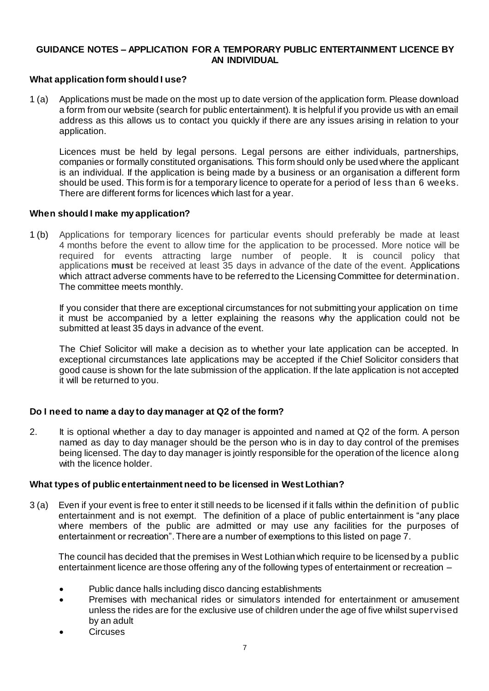# **GUIDANCE NOTES – APPLICATION FOR A TEMPORARY PUBLIC ENTERTAINMENT LICENCE BY AN INDIVIDUAL**

# **What application form should I use?**

1 (a) Applications must be made on the most up to date version of the application form. Please download a form from our website (search for public entertainment). It is helpful if you provide us with an email address as this allows us to contact you quickly if there are any issues arising in relation to your application.

Licences must be held by legal persons. Legal persons are either individuals, partnerships, companies or formally constituted organisations. This form should only be used where the applicant is an individual. If the application is being made by a business or an organisation a different form should be used. This form is for a temporary licence to operate for a period of less than 6 weeks. There are different forms for licences which last for a year.

### **When should I make my application?**

1 (b) Applications for temporary licences for particular events should preferably be made at least 4 months before the event to allow time for the application to be processed. More notice will be required for events attracting large number of people. It is council policy that applications **must** be received at least 35 days in advance of the date of the event. Applications which attract adverse comments have to be referred to the Licensing Committee for determination. The committee meets monthly.

If you consider that there are exceptional circumstances for not submitting your application on time it must be accompanied by a letter explaining the reasons why the application could not be submitted at least 35 days in advance of the event.

The Chief Solicitor will make a decision as to whether your late application can be accepted. In exceptional circumstances late applications may be accepted if the Chief Solicitor considers that good cause is shown for the late submission of the application. If the late application is not accepted it will be returned to you.

# **Do I need to name a day to day manager at Q2 of the form?**

2. It is optional whether a day to day manager is appointed and named at Q2 of the form. A person named as day to day manager should be the person who is in day to day control of the premises being licensed. The day to day manager is jointly responsible for the operation of the licence along with the licence holder.

### **What types of public entertainment need to be licensed in West Lothian?**

3 (a) Even if your event is free to enter it still needs to be licensed if it falls within the definition of public entertainment and is not exempt. The definition of a place of public entertainment is "any place where members of the public are admitted or may use any facilities for the purposes of entertainment or recreation". There are a number of exemptions to this listed on page 7.

The council has decided that the premises in West Lothian which require to be licensed by a public entertainment licence are those offering any of the following types of entertainment or recreation –

- Public dance halls including disco dancing establishments
- Premises with mechanical rides or simulators intended for entertainment or amusement unless the rides are for the exclusive use of children under the age of five whilst supervised by an adult
- **Circuses**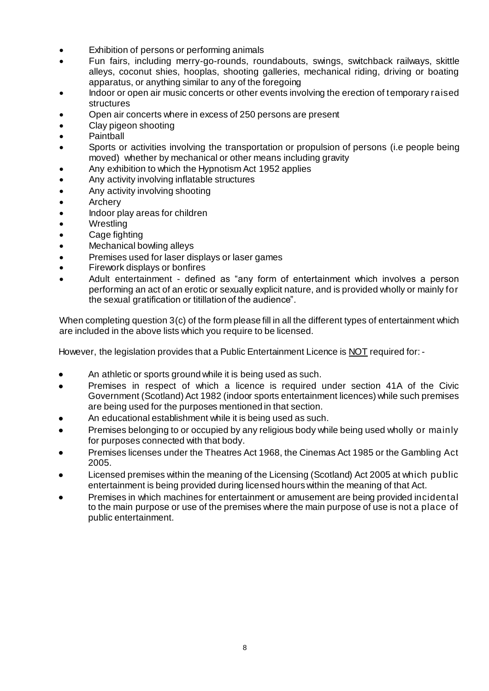- Exhibition of persons or performing animals
- Fun fairs, including merry-go-rounds, roundabouts, swings, switchback railways, skittle alleys, coconut shies, hooplas, shooting galleries, mechanical riding, driving or boating apparatus, or anything similar to any of the foregoing
- Indoor or open air music concerts or other events involving the erection of temporary raised structures
- Open air concerts where in excess of 250 persons are present
- Clay pigeon shooting
- **Paintball**
- Sports or activities involving the transportation or propulsion of persons (i.e people being moved) whether by mechanical or other means including gravity
- Any exhibition to which the Hypnotism Act 1952 applies
- Any activity involving inflatable structures
- Any activity involving shooting
- **Archery**
- Indoor play areas for children
- **Wrestling**
- Cage fighting
- Mechanical bowling alleys
- Premises used for laser displays or laser games
- Firework displays or bonfires
- Adult entertainment defined as "any form of entertainment which involves a person performing an act of an erotic or sexually explicit nature, and is provided wholly or mainly for the sexual gratification or titillation of the audience".

When completing question 3(c) of the form please fill in all the different types of entertainment which are included in the above lists which you require to be licensed.

However, the legislation provides that a Public Entertainment Licence is NOT required for: -

- An athletic or sports ground while it is being used as such.
- Premises in respect of which a licence is required under section 41A of the Civic Government (Scotland) Act 1982 (indoor sports entertainment licences) while such premises are being used for the purposes mentioned in that section.
- An educational establishment while it is being used as such.
- Premises belonging to or occupied by any religious body while being used wholly or mainly for purposes connected with that body.
- Premises licenses under the Theatres Act 1968, the Cinemas Act 1985 or the Gambling Act 2005.
- Licensed premises within the meaning of the Licensing (Scotland) Act 2005 at which public entertainment is being provided during licensed hours within the meaning of that Act.
- Premises in which machines for entertainment or amusement are being provided incidental to the main purpose or use of the premises where the main purpose of use is not a place of public entertainment.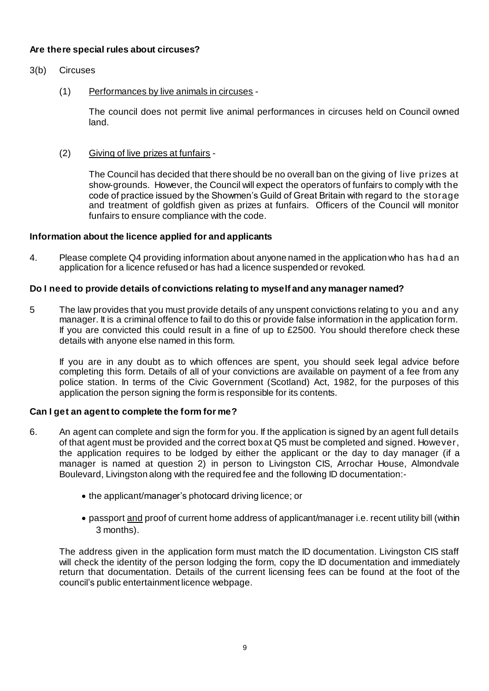# **Are there special rules about circuses?**

- 3(b) Circuses
	- (1) Performances by live animals in circuses -

The council does not permit live animal performances in circuses held on Council owned land.

(2) Giving of live prizes at funfairs -

The Council has decided that there should be no overall ban on the giving of live prizes at show-grounds. However, the Council will expect the operators of funfairs to comply with the code of practice issued by the Showmen's Guild of Great Britain with regard to the storage and treatment of goldfish given as prizes at funfairs. Officers of the Council will monitor funfairs to ensure compliance with the code.

# **Information about the licence applied for and applicants**

4. Please complete Q4 providing information about anyone named in the application who has ha d an application for a licence refused or has had a licence suspended or revoked.

# **Do I need to provide details of convictions relating to myself and any manager named?**

5 The law provides that you must provide details of any unspent convictions relating to you and any manager. It is a criminal offence to fail to do this or provide false information in the application form. If you are convicted this could result in a fine of up to £2500. You should therefore check these details with anyone else named in this form.

If you are in any doubt as to which offences are spent, you should seek legal advice before completing this form. Details of all of your convictions are available on payment of a fee from any police station. In terms of the Civic Government (Scotland) Act, 1982, for the purposes of this application the person signing the form is responsible for its contents.

# **Can I get an agent to complete the form for me?**

- 6. An agent can complete and sign the form for you. If the application is signed by an agent full details of that agent must be provided and the correct box at Q5 must be completed and signed. However, the application requires to be lodged by either the applicant or the day to day manager (if a manager is named at question 2) in person to Livingston CIS, Arrochar House, Almondvale Boulevard, Livingston along with the required fee and the following ID documentation:-
	- the applicant/manager's photocard driving licence; or
	- passport and proof of current home address of applicant/manager i.e. recent utility bill (within 3 months).

The address given in the application form must match the ID documentation. Livingston CIS staff will check the identity of the person lodging the form, copy the ID documentation and immediately return that documentation. Details of the current licensing fees can be found at the foot of the council's public entertainment licence webpage.